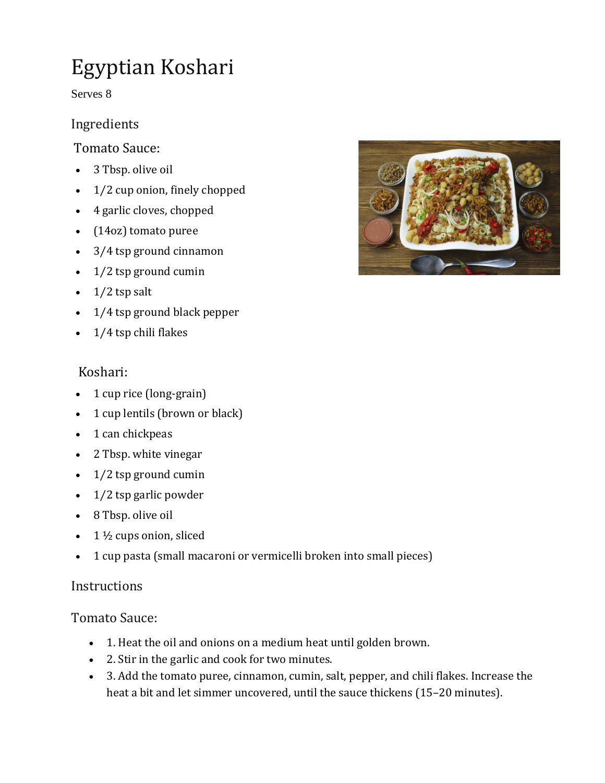# Egyptian Koshari

Serves 8

## Ingredients

Tomato Sauce:

- 3 Tbsp. olive oil
- 1/2 cup onion, finely chopped
- 4 garlic cloves, chopped
- (14oz) tomato puree
- 3/4 tsp ground cinnamon
- $\bullet$  1/2 tsp ground cumin
- $\bullet$  1/2 tsp salt
- 1/4 tsp ground black pepper
- $\cdot$  1/4 tsp chili flakes

## Koshari:

- 1 cup rice (long-grain)
- 1 cup lentils (brown or black)
- 1 can chickpeas
- 2 Tbsp. white vinegar
- $\cdot$  1/2 tsp ground cumin
- 1/2 tsp garlic powder
- 8 Tbsp. olive oil
- 1  $\frac{1}{2}$  cups onion, sliced
- 1 cup pasta (small macaroni or vermicelli broken into small pieces)

#### Instructions

#### Tomato Sauce:

- 1. Heat the oil and onions on a medium heat until golden brown.
- 2. Stir in the garlic and cook for two minutes.
- 3. Add the tomato puree, cinnamon, cumin, salt, pepper, and chili flakes. Increase the heat a bit and let simmer uncovered, until the sauce thickens (15–20 minutes).